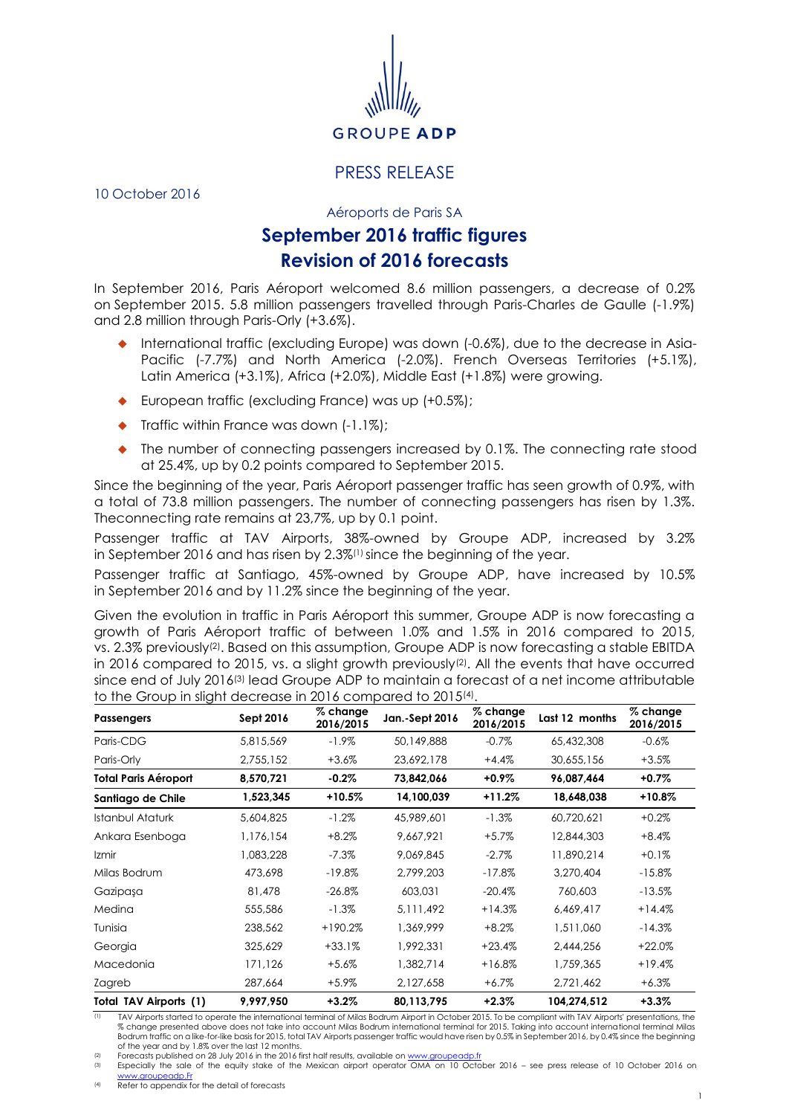

## PRESS RELEASE

10 October 2016

Aéroports de Paris SA

# **September 2016 traffic figures Revision of 2016 forecasts**

In September 2016, Paris Aéroport welcomed 8.6 million passengers, a decrease of 0.2% on September 2015. 5.8 million passengers travelled through Paris-Charles de Gaulle (-1.9%) and 2.8 million through Paris-Orly (+3.6%).

- International traffic (excluding Europe) was down (-0.6%), due to the decrease in Asia-Pacific (-7.7%) and North America (-2.0%). French Overseas Territories (+5.1%), Latin America (+3.1%), Africa (+2.0%), Middle East (+1.8%) were growing.
- ◆ European traffic (excluding France) was up (+0.5%);
- ◆ Traffic within France was down (-1.1%);
- The number of connecting passengers increased by 0.1%. The connecting rate stood at 25.4%, up by 0.2 points compared to September 2015.

Since the beginning of the year, Paris Aéroport passenger traffic has seen growth of 0.9%, with a total of 73.8 million passengers. The number of connecting passengers has risen by 1.3%. Theconnecting rate remains at 23,7%, up by 0.1 point.

Passenger traffic at TAV Airports, 38%-owned by Groupe ADP, increased by 3.2% in September 2016 and has risen by 2.3%<sup>(1)</sup> since the beginning of the year.

Passenger traffic at Santiago, 45%-owned by Groupe ADP, have increased by 10.5% in September 2016 and by 11.2% since the beginning of the year.

Given the evolution in traffic in Paris Aéroport this summer, Groupe ADP is now forecasting a growth of Paris Aéroport traffic of between 1.0% and 1.5% in 2016 compared to 2015, vs. 2.3% previously<sup>(2)</sup>. Based on this assumption, Groupe ADP is now forecasting a stable EBITDA in 2016 compared to 2015, vs. a slight growth previously<sup>(2)</sup>. All the events that have occurred since end of July 2016(3) lead Groupe ADP to maintain a forecast of a net income attributable to the Group in slight decrease in 2016 compared to 2015<sup>(4)</sup>.

| Passengers                  | Sept 2016 | $\%$ change<br>2016/2015 | Jan.-Sept 2016 | % change<br>2016/2015 | Last 12 months | $%$ change<br>2016/2015 |
|-----------------------------|-----------|--------------------------|----------------|-----------------------|----------------|-------------------------|
| Paris-CDG                   | 5,815,569 | $-1.9\%$                 | 50,149,888     | $-0.7%$               | 65,432,308     | $-0.6%$                 |
| Paris-Orly                  | 2,755,152 | $+3.6%$                  | 23,692,178     | $+4.4%$               | 30,655,156     | $+3.5%$                 |
| <b>Total Paris Aéroport</b> | 8,570,721 | $-0.2\%$                 | 73,842,066     | $+0.9\%$              | 96,087,464     | $+0.7\%$                |
| Santiago de Chile           | 1,523,345 | +10.5%                   | 14,100,039     | $+11.2%$              | 18,648,038     | +10.8%                  |
| <b>Istanbul Ataturk</b>     | 5,604,825 | $-1.2\%$                 | 45,989,601     | $-1.3%$               | 60.720.621     | $+0.2%$                 |
| Ankara Esenboga             | 1,176,154 | $+8.2%$                  | 9,667,921      | $+5.7\%$              | 12,844,303     | $+8.4%$                 |
| Izmir                       | 1,083,228 | $-7.3\%$                 | 9,069,845      | $-2.7\%$              | 11,890,214     | $+0.1%$                 |
| Milas Bodrum                | 473,698   | $-19.8%$                 | 2,799,203      | $-17.8\%$             | 3,270,404      | $-15.8\%$               |
| Gazipaşa                    | 81,478    | $-26.8\%$                | 603,031        | $-20.4%$              | 760,603        | $-13.5%$                |
| Medina                      | 555,586   | $-1.3%$                  | 5,111,492      | $+14.3%$              | 6,469,417      | $+14.4%$                |
| Tunisia                     | 238,562   | $+190.2%$                | 1,369,999      | $+8.2%$               | 1,511,060      | $-14.3%$                |
| Georgia                     | 325,629   | $+33.1%$                 | 1,992,331      | $+23.4%$              | 2,444,256      | $+22.0%$                |
| Macedonia                   | 171,126   | $+5.6%$                  | 1,382,714      | $+16.8%$              | 1,759,365      | $+19.4%$                |
| Zagreb                      | 287,664   | $+5.9\%$                 | 2,127,658      | $+6.7\%$              | 2,721,462      | $+6.3\%$                |
| Total TAV Airports (1)      | 9,997,950 | $+3.2\%$                 | 80,113,795     | $+2.3%$               | 104,274,512    | $+3.3%$                 |

TAV Airports started to operate the international terminal of Milas Bodrum Airport in October 2015. To be compliant with TAV Airports' presentations, the<br>% change presented above does not take into account Milas Bodrum int Bodrum traffic on a like-for-like basis for 2015, total TAV Airports passenger traffic would have risen by 0.5% in September 2016, by 0.4% since the beginning of the year and by 1.8% over the last 12 months.

<sup>(2)</sup> Forecasts published on 28 July 2016 in the 2016 first half results, available on www.group<br>
Freecially the sale of the equity stake of the Mexican ginest operator OMA on 1

Especially the sale of the equity stake of the Mexican airport operator OMA on 10 October 2016 – see press release of 10 October 2016 on ww.groupeadp.F

(4) Refer to appendix for the detail of forecasts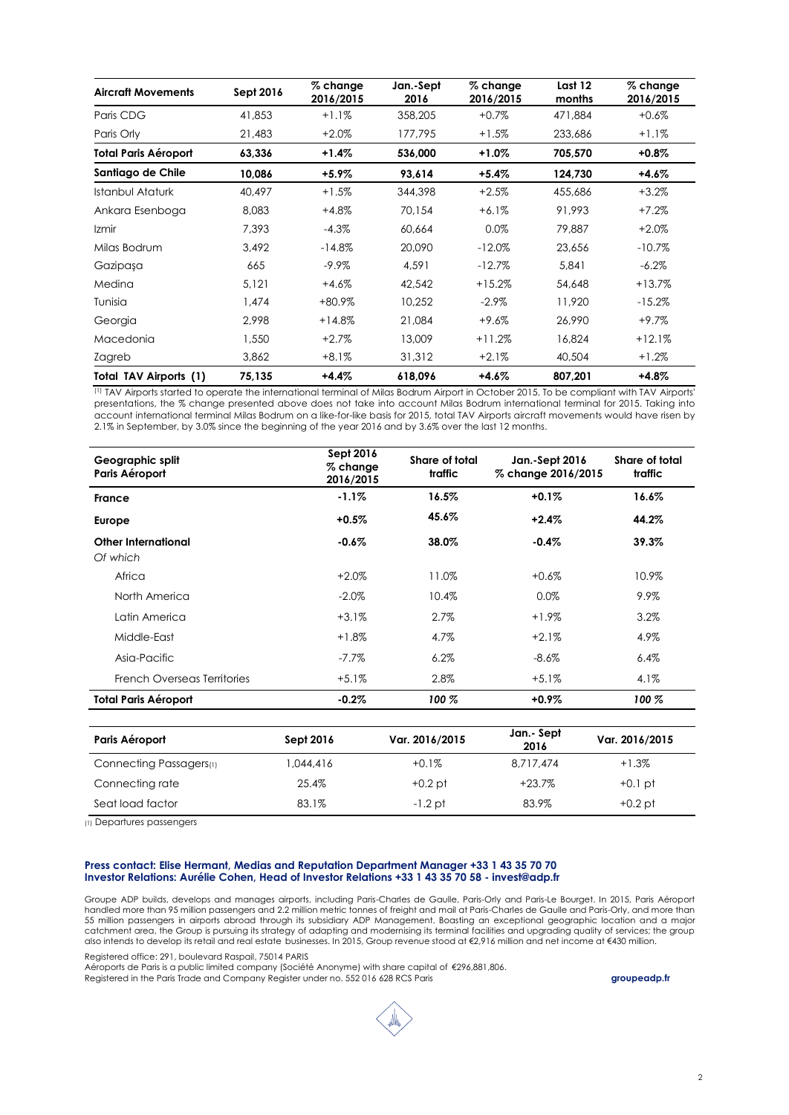| <b>Aircraft Movements</b>   | Sept 2016 | $%$ change<br>2016/2015 | Jan.-Sept<br>2016 | % change<br>2016/2015 | Last 12<br>months | $%$ change<br>2016/2015 |
|-----------------------------|-----------|-------------------------|-------------------|-----------------------|-------------------|-------------------------|
| Paris CDG                   | 41,853    | $+1.1%$                 | 358,205           | $+0.7%$               | 471,884           | $+0.6%$                 |
| Paris Orly                  | 21,483    | $+2.0\%$                | 177,795           | $+1.5%$               | 233,686           | $+1.1%$                 |
| <b>Total Paris Aéroport</b> | 63,336    | $+1.4%$                 | 536,000           | $+1.0%$               | 705,570           | $+0.8\%$                |
| Santiago de Chile           | 10,086    | $+5.9%$                 | 93.614            | $+5.4%$               | 124,730           | $+4.6%$                 |
| Istanbul Ataturk            | 40.497    | $+1.5%$                 | 344,398           | $+2.5%$               | 455,686           | $+3.2%$                 |
| Ankara Esenboga             | 8.083     | $+4.8%$                 | 70.154            | $+6.1%$               | 91.993            | $+7.2%$                 |
| Izmir                       | 7,393     | $-4.3%$                 | 60,664            | 0.0%                  | 79,887            | $+2.0%$                 |
| Milas Bodrum                | 3,492     | $-14.8%$                | 20,090            | $-12.0%$              | 23,656            | $-10.7%$                |
| Gazipaşa                    | 665       | $-9.9\%$                | 4,591             | $-12.7%$              | 5,841             | $-6.2\%$                |
| Medina                      | 5,121     | $+4.6%$                 | 42,542            | $+15.2%$              | 54,648            | $+13.7%$                |
| Tunisia                     | 1,474     | +80.9%                  | 10,252            | $-2.9\%$              | 11,920            | $-15.2%$                |
| Georgia                     | 2,998     | $+14.8%$                | 21,084            | $+9.6%$               | 26,990            | $+9.7%$                 |
| Macedonia                   | 1,550     | $+2.7\%$                | 13,009            | $+11.2%$              | 16,824            | $+12.1%$                |
| Zagreb                      | 3,862     | $+8.1%$                 | 31,312            | $+2.1%$               | 40,504            | $+1.2%$                 |
| Total TAV Airports (1)      | 75,135    | $+4.4%$                 | 618,096           | $+4.6%$               | 807,201           | $+4.8%$                 |

(1) TAV Airports started to operate the international terminal of Milas Bodrum Airport in October 2015. To be compliant with TAV Airports' presentations, the % change presented above does not take into account Milas Bodrum international terminal for 2015. Taking into account international terminal Milas Bodrum on a like-for-like basis for 2015, total TAV Airports aircraft movements would have risen by 2.1% in September, by 3.0% since the beginning of the year 2016 and by 3.6% over the last 12 months.

| Geographic split<br>Paris Aéroport | Sept 2016<br>% change<br>2016/2015 | Share of total<br>traffic | Jan.-Sept 2016<br>% change 2016/2015 | Share of total<br>traffic |
|------------------------------------|------------------------------------|---------------------------|--------------------------------------|---------------------------|
| <b>France</b>                      | $-1.1%$                            | 16.5%                     | $+0.1%$                              | 16.6%                     |
| <b>Europe</b>                      | $+0.5\%$                           | 45.6%                     | $+2.4%$                              | 44.2%                     |
| <b>Other International</b>         | $-0.6%$                            | 38.0%                     | $-0.4\%$                             | 39.3%                     |
| Of which                           |                                    |                           |                                      |                           |
| Africa                             | $+2.0\%$                           | 11.0%                     | $+0.6%$                              | 10.9%                     |
| North America                      | $-2.0\%$                           | 10.4%                     | 0.0%                                 | 9.9%                      |
| Latin America                      | $+3.1%$                            | 2.7%                      | $+1.9\%$                             | 3.2%                      |
| Middle-East                        | $+1.8\%$                           | 4.7%                      | $+2.1%$                              | 4.9%                      |
| Asia-Pacific                       | $-7.7%$                            | 6.2%                      | $-8.6\%$                             | $6.4\%$                   |
| <b>French Overseas Territories</b> | $+5.1%$                            | 2.8%                      | $+5.1%$                              | 4.1%                      |
| <b>Total Paris Aéroport</b>        | $-0.2%$                            | 100%                      | $+0.9%$                              | $100 \%$                  |

| Paris Aéroport          | Sept 2016 | Var. 2016/2015 | Jan.- Sept<br>2016 | Var. 2016/2015 |
|-------------------------|-----------|----------------|--------------------|----------------|
| Connecting Passagers(1) | 1.044.416 | $+0.1%$        | 8.717.474          | $+1.3\%$       |
| Connecting rate         | 25.4%     | $+0.2$ pt      | $+23.7%$           | $+0.1$ pt      |
| Seat load factor        | 83.1%     | $-1.2$ pt      | 83.9%              | $+0.2$ pt      |

(1) Departures passengers

#### **Press contact: Elise Hermant, Medias and Reputation Department Manager +33 1 43 35 70 70 Investor Relations: Aurélie Cohen, Head of Investor Relations +33 1 43 35 70 58 - invest@adp.fr**

Groupe ADP builds, develops and manages airports, including Paris-Charles de Gaulle, Paris-Orly and Paris-Le Bourget. In 2015, Paris Aéroport handled more than 95 million passengers and 2.2 million metric tonnes of freight and mail at Paris-Charles de Gaulle and Paris-Orly, and more than<br>55 million passengers in airports abroad through its subsidiary ADP Managem catchment area, the Group is pursuing its strategy of adapting and modernising its terminal facilities and upgrading quality of services; the group also intends to develop its retail and real estate businesses. In 2015, Group revenue stood at €2,916 million and net income at €430 million.

Registered office: 291, boulevard Raspail, 75014 PARIS

Aéroports de Paris is a public limited company (Société Anonyme) with share capital of €296,881,806.

Registered in the Paris Trade and Company Register under no. 552 016 628 RCS Paris **group and participate and Company Register under no.** 552 016 628 RCS Paris

2